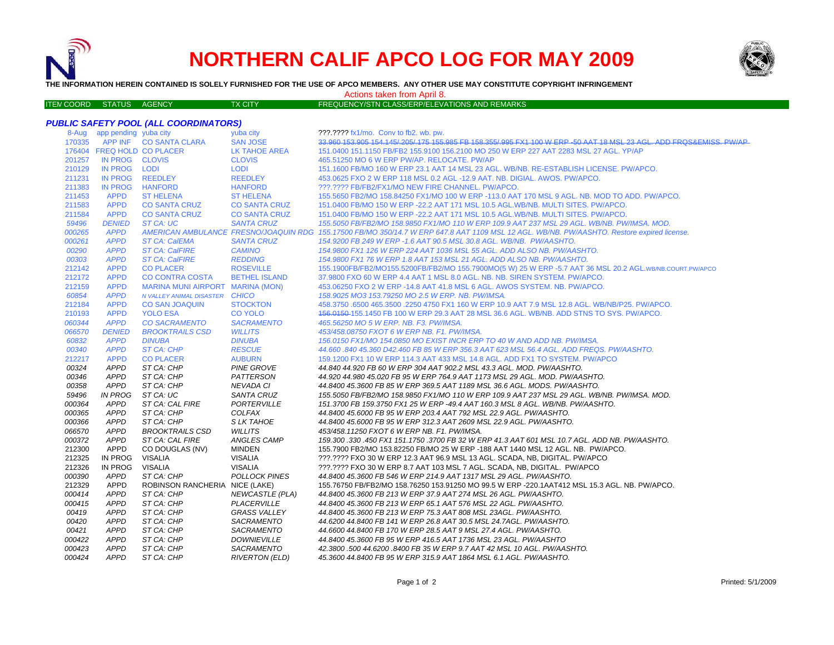

# **NORTHERN CALIF APCO LOG FOR MAY 2009**



**THE INFORMATION HEREIN CONTAINED IS SOLELY FURNISHED FOR THE USE OF APCO MEMBERS. ANY OTHER USE MAY CONSTITUTE COPYRIGHT INFRINGEMENT**

| INE INFORMATION NEREIN CONTAINED IS SOLEET FURNISHED FOR THE USE OF AFGO MEMBERS. ANT OTHER USE MAT CONSTITUTE COFTRIGHT INFRINGEMENT<br>Actions taken from April 8. |                             |                                       |                      |                                                                                                                                            |
|----------------------------------------------------------------------------------------------------------------------------------------------------------------------|-----------------------------|---------------------------------------|----------------------|--------------------------------------------------------------------------------------------------------------------------------------------|
| <b>ITEN COORD</b>                                                                                                                                                    | STATUS AGENCY               |                                       | <b>TX CITY</b>       | FREQUENCY/STN CLASS/ERP/ELEVATIONS AND REMARKS                                                                                             |
|                                                                                                                                                                      |                             | PUBLIC SAFETY POOL (ALL COORDINATORS) |                      |                                                                                                                                            |
|                                                                                                                                                                      | 8-Aug app pending yuba city |                                       | yuba city            | ???.???? fx1/mo. Conv to fb2. wb. pw.                                                                                                      |
| 170335                                                                                                                                                               |                             | APP INF CO SANTA CLARA                | <b>SAN JOSE</b>      | 33,960,153,905,154,145/205/175,155,985,EB 158,355/995,EX1,100,W ERP -50,AAT 18 MSL 23,AGL ADD EROS&EMISS, PW/AP                            |
|                                                                                                                                                                      |                             | 176404 FREQ HOLD CO PLACER            | LK TAHOE AREA        | 151,0400 151,1150 FB/FB2 155,9100 156,2100 MO 250 W ERP 227 AAT 2283 MSL 27 AGL, YP/AP                                                     |
| 201257                                                                                                                                                               | IN PROG CLOVIS              |                                       | <b>CLOVIS</b>        | 465.51250 MO 6 W ERP PW/AP, RELOCATE, PW/AP                                                                                                |
| 210129                                                                                                                                                               | IN PROG LODI                |                                       | LODI                 | 151.1600 FB/MO 160 W ERP 23.1 AAT 14 MSL 23 AGL, WB/NB, RE-ESTABLISH LICENSE, PW/APCO,                                                     |
| 211231                                                                                                                                                               |                             | IN PROG REEDLEY                       | REEDLEY              | 453.0625 FXO 2 W ERP 118 MSL 0.2 AGL -12.9 AAT, NB, DIGIAL, AWOS, PW/APCO,                                                                 |
| 211383                                                                                                                                                               | IN PROG                     | HANFORD                               | <b>HANFORD</b>       | ???.???? FB/FB2/FX1/MO NEW FIRE CHANNEL. PW/APCO.                                                                                          |
| 211453                                                                                                                                                               | <b>APPD</b>                 | <b>ST HELENA</b>                      | <b>ST HELENA</b>     | 155,5650 FB2/MO 158,84250 FX1/MO 100 W ERP -113.0 AAT 170 MSL 9 AGL, NB, MOD TO ADD, PW/APCO,                                              |
| 211583                                                                                                                                                               | <b>APPD</b>                 | <b>CO SANTA CRUZ</b>                  | <b>CO SANTA CRUZ</b> | 151,0400 FB/MO 150 W ERP -22.2 AAT 171 MSL 10.5 AGL.WB/NB, MULTI SITES, PW/APCO,                                                           |
| 211584                                                                                                                                                               | <b>APPD</b>                 | <b>CO SANTA CRUZ</b>                  | <b>CO SANTA CRUZ</b> | 151,0400 FB/MO 150 W ERP -22.2 AAT 171 MSL 10.5 AGL WB/NB, MULTI SITES, PW/APCO,                                                           |
| 59496                                                                                                                                                                | <b>DENIED</b>               | ST CA: UC                             | <b>SANTA CRUZ</b>    | 155.5050 FB/FB2/MO 158.9850 FX1/MO 110 W ERP 109.9 AAT 237 MSL 29 AGL, WB/NB, PW/IMSA, MOD,                                                |
| 000265                                                                                                                                                               | <b>APPD</b>                 |                                       |                      | AMERICAN AMBULANCE FRESNO/JOAQUIN RDG 155.17500 FB/MO 350/14.7 W ERP 647.8 AAT 1109 MSL 12 AGL. WB/NB. PW/AASHTO. Restore expired license. |
| 000261                                                                                                                                                               | <b>APPD</b>                 | <b>ST CA: CalEMA</b>                  | <b>SANTA CRUZ</b>    | 154,9200 FB 249 W ERP -1.6 AAT 90.5 MSL 30.8 AGL, WB/NB, PW/AASHTO,                                                                        |
| 00290                                                                                                                                                                | <b>APPD</b>                 | <b>ST CA: CalFIRE</b>                 | CAMINO               | 154.9800 FX1 126 W ERP 224 AAT 1036 MSL 55 AGL. ADD ALSO NB. PW/AASHTO.                                                                    |
| 00303                                                                                                                                                                | <b>APPD</b>                 | <b>ST CA: CalFIRE</b>                 | <b>REDDING</b>       | 154,9800 FX1 76 W ERP 1.8 AAT 153 MSL 21 AGL, ADD ALSO NB, PW/AASHTO,                                                                      |
| 212142                                                                                                                                                               | <b>APPD</b>                 | <b>CO PLACER</b>                      | <b>ROSEVILLE</b>     | 155.1900FB/FB2/MO155.5200FB/FB2/MO 155.7900MO(5 W) 25 W ERP -5.7 AAT 36 MSL 20.2 AGL.WB/NB.COURT.PW/APCO                                   |
| 212172                                                                                                                                                               | <b>APPD</b>                 | <b>CO CONTRA COSTA</b>                | <b>BETHEL ISLAND</b> | 37,9800 FXO 60 W ERP 4.4 AAT 1 MSL 8.0 AGL, NB, NB, SIREN SYSTEM, PW/APCO,                                                                 |
| 212159                                                                                                                                                               | <b>APPD</b>                 | MARINA MUNI AIRPORT MARINA (MON)      |                      | 453.06250 FXO 2 W ERP -14.8 AAT 41.8 MSL 6 AGL. AWOS SYSTEM, NB, PW/APCO,                                                                  |
| 60854                                                                                                                                                                | <b>APPD</b>                 | N VALLEY ANIMAL DISASTER CHICO        |                      | 158.9025 MO3 153.79250 MO 2.5 W ERP. NB. PW/IMSA.                                                                                          |
| 212184                                                                                                                                                               | <b>APPD</b>                 | <b>CO SAN JOAQUIN</b>                 | <b>STOCKTON</b>      | 458.3750 .6500 465.3500 .2250 4750 FX1 160 W ERP 10.9 AAT 7.9 MSL 12.8 AGL, WB/NB/P25, PW/APCO,                                            |
| 210193                                                                                                                                                               | <b>APPD</b>                 | YOLO ESA                              | <b>CO YOLO</b>       | 156,0150-155,1450 FB 100 W ERP 29.3 AAT 28 MSL 36.6 AGL, WB/NB, ADD STNS TO SYS, PW/APCO,                                                  |
| 060344                                                                                                                                                               | <b>APPD</b>                 | <b>CO SACRAMENTO</b>                  | <b>SACRAMENTO</b>    | 465.56250 MO 5 W ERP. NB. F3. PW/IMSA.                                                                                                     |

## *DENIED BROOKTRAILS CSD WILLITS 453/458.08750 FXOT 6 W ERP NB. F1. PW/IMSA. APPD DINUBA DINUBA 156.0150 FX1/MO 154.0850 MO EXIST INCR ERP TO 40 W AND ADD NB. PW/IMSA. APPD ST CA: CHP RESCUE 44.660 .840 45.360 D42.460 FB 85 W ERP 356.3 AAT 623 MSL 56.4 AGL. ADD FREQS. PW/AASHTO.*

| 212217        | <b>APPD</b> | <b>CO PLACER</b>               | <b>AUBURN</b>          | 159.1200 FX1 10 W ERP 114.3 AAT 433 MSL 14.8 AGL, ADD FX1 TO SYSTEM, PW/APCO                     |
|---------------|-------------|--------------------------------|------------------------|--------------------------------------------------------------------------------------------------|
| 00324         | <b>APPD</b> | ST CA: CHP                     | <b>PINE GROVE</b>      | 44.840 44.920 FB 60 W ERP 304 AAT 902.2 MSL 43.3 AGL. MOD. PW/AASHTO.                            |
| 00346         | <b>APPD</b> | ST CA: CHP                     | PATTERSON              | 44.920 44.980 45.020 FB 95 W ERP 764.9 AAT 1173 MSL 29 AGL. MOD. PW/AASHTO.                      |
| 00358         | <b>APPD</b> | ST CA: CHP                     | <b>NEVADA CI</b>       | 44.8400 45.3600 FB 85 W ERP 369.5 AAT 1189 MSL 36.6 AGL. MODS. PW/AASHTO.                        |
| 59496         | IN PROG     | ST CA: UC                      | SANTA CRUZ             | 155.5050 FB/FB2/MO 158.9850 FX1/MO 110 W ERP 109.9 AAT 237 MSL 29 AGL. WB/NB. PW/IMSA. MOD.      |
| <i>000364</i> | <b>APPD</b> | ST CA: CAL FIRE                | PORTERVILLE            | 151.3700 FB 159.3750 FX1 25 W ERP -49.4 AAT 160.3 MSL 8 AGL, WB/NB, PW/AASHTO,                   |
| <i>000365</i> | <b>APPD</b> | ST CA: CHP                     | COLFAX                 | 44.8400 45.6000 FB 95 W ERP 203.4 AAT 792 MSL 22.9 AGL. PW/AASHTO.                               |
| <i>000366</i> | <b>APPD</b> | ST CA: CHP                     | S LK TAHOE             | 44.8400 45.6000 FB 95 W ERP 312.3 AAT 2609 MSL 22.9 AGL. PW/AASHTO.                              |
| <i>066570</i> | <b>APPD</b> | BROOKTRAILS CSD                | WILLITS                | 453/458.11250 FXOT 6 W ERP NB. F1. PW/IMSA.                                                      |
| <i>000372</i> | <b>APPD</b> | ST CA: CAL FIRE                | ANGLES CAMP            | 159,300, 330, 450 FX1, 151, 1750, 3700 FB 32 W ERP 41.3 AAT 601 MSL 10.7 AGL, ADD NB, PW/AASHTO, |
| 212300        | APPD        | CO DOUGLAS (NV)                | <b>MINDEN</b>          | 155.7900 FB2/MO 153.82250 FB/MO 25 W ERP -188 AAT 1440 MSL 12 AGL, NB. PW/APCO.                  |
| 212325        | IN PROG     | VISALIA                        | VISALIA                | ???.???? FXO 30 W ERP 12.3 AAT 96.9 MSL 13 AGL. SCADA, NB, DIGITAL. PW/APCO                      |
| 212326        | IN PROG     | <b>VISALIA</b>                 | VISALIA                | ???.???? FXO 30 W ERP 8.7 AAT 103 MSL 7 AGL. SCADA, NB, DIGITAL. PW/APCO                         |
| <i>000390</i> | <b>APPD</b> | ST CA: CHP                     | <b>POLLOCK PINES</b>   | 44.8400 45.3600 FB 546 W ERP 214.9 AAT 1317 MSL 29 AGL, PW/AASHTO.                               |
| 212329        | <b>APPD</b> | ROBINSON RANCHERIA NICE (LAKE) |                        | 155.76750 FB/FB2/MO 158.76250 153.91250 MO 99.5 W ERP -220.1AAT412 MSL 15.3 AGL. NB. PW/APCO.    |
| 000414        | <b>APPD</b> | ST CA: CHP                     | <b>NEWCASTLE (PLA)</b> | 44.8400 45.3600 FB 213 W ERP 37.9 AAT 274 MSL 26 AGL. PW/AASHTO.                                 |
| 000415        | <b>APPD</b> | ST CA: CHP                     | <b>PLACERVILLE</b>     | 44.8400 45.3600 FB 213 W ERP 65.1 AAT 576 MSL 22 AGL. PW/AASHTO.                                 |
| 00419         | <b>APPD</b> | ST CA: CHP                     | <b>GRASS VALLEY</b>    | 44.8400 45.3600 FB 213 W ERP 75.3 AAT 808 MSL 23AGL. PW/AASHTO.                                  |
| 00420         | <b>APPD</b> | ST CA: CHP                     | <b>SACRAMENTO</b>      | 44.6200 44.8400 FB 141 W ERP 26.8 AAT 30.5 MSL 24.7AGL. PW/AASHTO.                               |
| 00421         | <b>APPD</b> | ST CA: CHP                     | <b>SACRAMENTO</b>      | 44.6600 44.8400 FB 170 W ERP 28.5 AAT 9 MSL 27.4 AGL. PW/AASHTO.                                 |
| <i>000422</i> | <b>APPD</b> | ST CA: CHP                     | <b>DOWNIEVILLE</b>     | 44.8400 45.3600 FB 95 W ERP 416.5 AAT 1736 MSL 23 AGL. PW/AASHTO                                 |
| <i>000423</i> | <b>APPD</b> | ST CA: CHP                     | <b>SACRAMENTO</b>      | 42.3800 .500 44.6200 .8400 FB 35 W ERP 9.7 AAT 42 MSL 10 AGL. PW/AASHTO.                         |